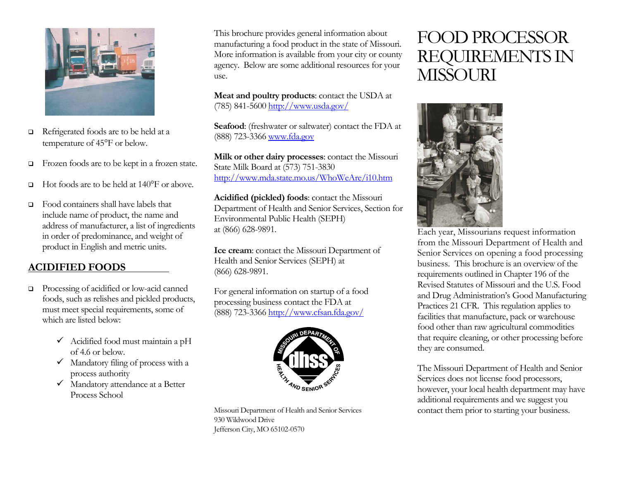

- Refrigerated foods are to be held at a temperature of 45°F or below.
- Frozen foods are to be kept in a frozen state.
- Hot foods are to be held at 140°F or above.
- Food containers shall have labels that include name of product, the name and address of manufacturer, a list of ingredients in order of predominance, and weight of product in English and metric units.

#### **ACIDIFIED FOODS**

- Processing of acidified or low-acid canned foods, such as relishes and pickled products, must meet special requirements, some of which are listed below:
	- $\checkmark$  Acidified food must maintain a pH of 4.6 or below.
	- $\checkmark$  Mandatory filing of process with a process authority
	- $\checkmark$  Mandatory attendance at a Better Process School

This brochure provides general information about manufacturing a food product in the state of Missouri. More information is available from your city or county agency. Below are some additional resources for your use.

**Meat and poultry products**: contact the USDA at (785) 841-5600 http://www.usda.gov/

**Seafood**: (freshwater or saltwater) contact the FDA at (888) 723-3366 www.fda.gov

**Milk or other dairy processes**: contact the Missouri State Milk Board at (573) 751-3830 http://www.mda.state.mo.us/WhoWeAre/i10.htm

**Acidified (pickled) foods**: contact the Missouri Department of Health and Senior Services, Section for Environmental Public Health (SEPH) at (866) 628-9891.

**Ice cream**: contact the Missouri Department of Health and Senior Services (SEPH) at (866) 628-9891.

For general information on startup of a food processing business contact the FDA at (888) 723-3366 http://www.cfsan.fda.gov/



Missouri Department of Health and Senior Services 930 Wildwood Drive Jefferson City, MO 65102-0570

# FOOD PROCESSOR REQUIREMENTS IN MISSOURI



Each year, Missourians request information from the Missouri Department of Health and Senior Services on opening a food processing business. This brochure is an overview of the requirements outlined in Chapter 196 of the Revised Statutes of Missouri and the U.S. Food and Drug Administration's Good Manufacturing Practices 21 CFR. This regulation applies to facilities that manufacture, pack or warehouse food other than raw agricultural commodities that require cleaning, or other processing before they are consumed.

The Missouri Department of Health and Senior Services does not license food processors, however, your local health department may have additional requirements and we suggest you contact them prior to starting your business.